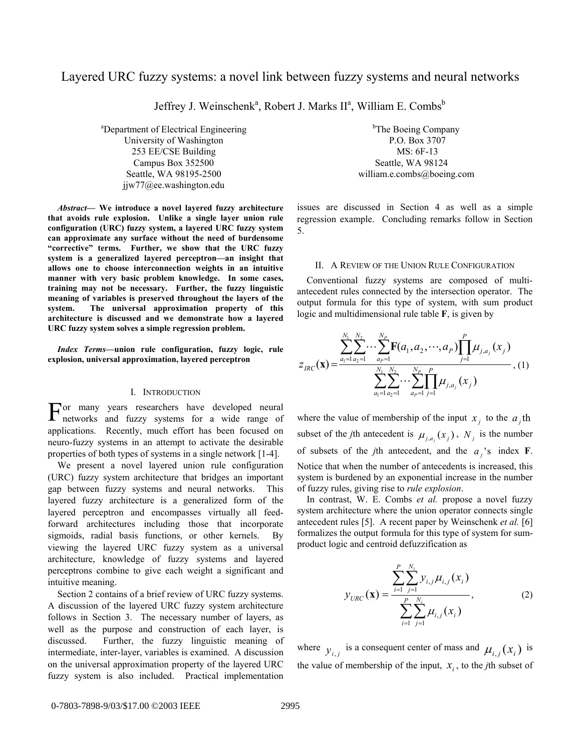# Layered URC fuzzy systems: a novel link between fuzzy systems and neural networks

Jeffrey J. Weinschenk<sup>a</sup>, Robert J. Marks II<sup>a</sup>, William E. Combs<sup>b</sup>

a Department of Electrical Engineering University of Washington 253 EE/CSE Building Campus Box 352500 Seattle, WA 98195-2500 jjw77@ee.washington.edu

*Abstract***— We introduce a novel layered fuzzy architecture that avoids rule explosion. Unlike a single layer union rule configuration (URC) fuzzy system, a layered URC fuzzy system can approximate any surface without the need of burdensome "corrective" terms. Further, we show that the URC fuzzy system is a generalized layered perceptron—an insight that allows one to choose interconnection weights in an intuitive manner with very basic problem knowledge. In some cases, training may not be necessary. Further, the fuzzy linguistic meaning of variables is preserved throughout the layers of the system. The universal approximation property of this architecture is discussed and we demonstrate how a layered URC fuzzy system solves a simple regression problem.** 

*Index Terms***—union rule configuration, fuzzy logic, rule explosion, universal approximation, layered perceptron**

# I. INTRODUCTION

For many years researchers have developed neural networks and fuzzy systems for a wide range of applications. Recently, much effort has been focused on neuro-fuzzy systems in an attempt to activate the desirable properties of both types of systems in a single network [1-4].

We present a novel layered union rule configuration (URC) fuzzy system architecture that bridges an important gap between fuzzy systems and neural networks. This layered fuzzy architecture is a generalized form of the layered perceptron and encompasses virtually all feedforward architectures including those that incorporate sigmoids, radial basis functions, or other kernels. By viewing the layered URC fuzzy system as a universal architecture, knowledge of fuzzy systems and layered perceptrons combine to give each weight a significant and intuitive meaning.

Section 2 contains of a brief review of URC fuzzy systems. A discussion of the layered URC fuzzy system architecture follows in Section 3. The necessary number of layers, as well as the purpose and construction of each layer, is discussed. Further, the fuzzy linguistic meaning of intermediate, inter-layer, variables is examined. A discussion on the universal approximation property of the layered URC fuzzy system is also included. Practical implementation

<sup>b</sup>The Boeing Company P.O. Box 3707 MS: 6F-13 Seattle, WA 98124 william.e.combs@boeing.com

issues are discussed in Section 4 as well as a simple regression example. Concluding remarks follow in Section 5.

#### II. A REVIEW OF THE UNION RULE CONFIGURATION

Conventional fuzzy systems are composed of multiantecedent rules connected by the intersection operator. The output formula for this type of system, with sum product logic and multidimensional rule table **F**, is given by

$$
z_{\text{IRC}}(\mathbf{x}) = \frac{\sum_{a_1=1}^{N_1} \sum_{a_2=1}^{N_2} \cdots \sum_{a_p=1}^{N_p} \mathbf{F}(a_1, a_2, \cdots, a_p) \prod_{j=1}^p \mu_{j, a_j}(x_j)}{\sum_{a_1=1}^{N_1} \sum_{a_2=1}^{N_2} \cdots \sum_{a_p=1}^{N_p} \prod_{j=1}^p \mu_{j, a_j}(x_j)}, (1)
$$

where the value of membership of the input  $x_j$  to the  $a_j$ th subset of the *j*th antecedent is  $\mu_{j,a_j}(x_j)$ ,  $N_j$  is the number of subsets of the *j*th antecedent, and the  $a_i$ 's index **F**. Notice that when the number of antecedents is increased, this system is burdened by an exponential increase in the number of fuzzy rules, giving rise to *rule explosion*.

In contrast, W. E. Combs *et al.* propose a novel fuzzy system architecture where the union operator connects single antecedent rules [5]. A recent paper by Weinschenk *et al.* [6] formalizes the output formula for this type of system for sumproduct logic and centroid defuzzification as

$$
y_{URC}(\mathbf{x}) = \frac{\sum_{i=1}^{P} \sum_{j=1}^{N_i} y_{i,j} \mu_{i,j}(x_i)}{\sum_{i=1}^{P} \sum_{j=1}^{N_i} \mu_{i,j}(x_i)},
$$
(2)

where  $y_i$  is a consequent center of mass and  $\mu_{i,i}(x_i)$  is the value of membership of the input,  $x_i$ , to the *j*th subset of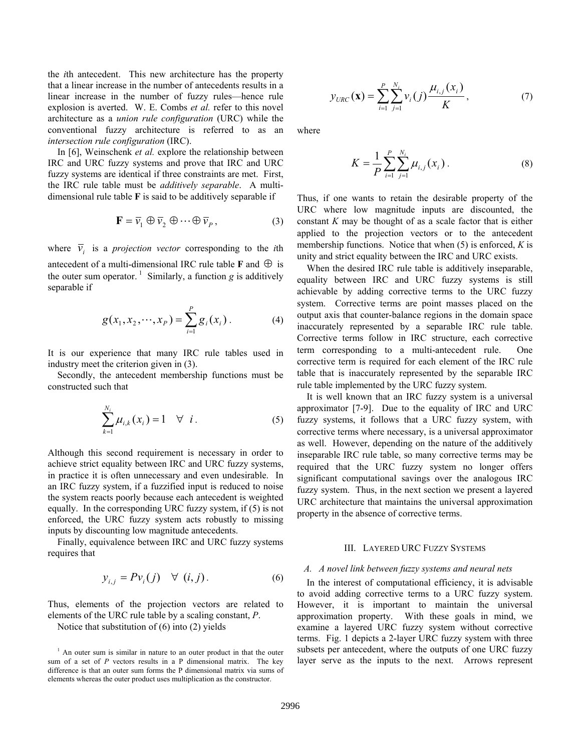the *i*th antecedent. This new architecture has the property that a linear increase in the number of antecedents results in a linear increase in the number of fuzzy rules—hence rule explosion is averted. W. E. Combs *et al.* refer to this novel architecture as a *union rule configuration* (URC) while the conventional fuzzy architecture is referred to as an *intersection rule configuration* (IRC).

In [6], Weinschenk *et al.* explore the relationship between IRC and URC fuzzy systems and prove that IRC and URC fuzzy systems are identical if three constraints are met. First, the IRC rule table must be *additively separable*. A multidimensional rule table **F** is said to be additively separable if

$$
\mathbf{F} = \overline{v}_1 \oplus \overline{v}_2 \oplus \cdots \oplus \overline{v}_p, \tag{3}
$$

where  $\overline{v}_i$  is a *projection vector* corresponding to the *i*th antecedent of a multi-dimensional IRC rule table **F** and  $\oplus$  is the outer sum operator.<sup>1</sup> Similarly, a function  $g$  is additively separable if

$$
g(x_1, x_2, \cdots, x_p) = \sum_{i=1}^p g_i(x_i).
$$
 (4)

It is our experience that many IRC rule tables used in industry meet the criterion given in (3).

Secondly, the antecedent membership functions must be constructed such that

$$
\sum_{k=1}^{N_i} \mu_{i,k}(x_i) = 1 \quad \forall \quad i.
$$
 (5)

Although this second requirement is necessary in order to achieve strict equality between IRC and URC fuzzy systems, in practice it is often unnecessary and even undesirable. In an IRC fuzzy system, if a fuzzified input is reduced to noise the system reacts poorly because each antecedent is weighted equally. In the corresponding URC fuzzy system, if (5) is not enforced, the URC fuzzy system acts robustly to missing inputs by discounting low magnitude antecedents.

Finally, equivalence between IRC and URC fuzzy systems requires that

$$
y_{i,j} = Pv_i(j) \quad \forall \ (i,j).
$$
 (6)

Thus, elements of the projection vectors are related to elements of the URC rule table by a scaling constant, *P*.

Notice that substitution of (6) into (2) yields

$$
y_{URC}(\mathbf{x}) = \sum_{i=1}^{P} \sum_{j=1}^{N_i} v_i(j) \frac{\mu_{i,j}(x_i)}{K}, \qquad (7)
$$

where

$$
K = \frac{1}{P} \sum_{i=1}^{P} \sum_{j=1}^{N_i} \mu_{i,j}(x_i).
$$
 (8)

Thus, if one wants to retain the desirable property of the URC where low magnitude inputs are discounted, the constant *K* may be thought of as a scale factor that is either applied to the projection vectors or to the antecedent membership functions. Notice that when (5) is enforced, *K* is unity and strict equality between the IRC and URC exists.

When the desired IRC rule table is additively inseparable, equality between IRC and URC fuzzy systems is still achievable by adding corrective terms to the URC fuzzy system. Corrective terms are point masses placed on the output axis that counter-balance regions in the domain space inaccurately represented by a separable IRC rule table. Corrective terms follow in IRC structure, each corrective term corresponding to a multi-antecedent rule. One corrective term is required for each element of the IRC rule table that is inaccurately represented by the separable IRC rule table implemented by the URC fuzzy system.

It is well known that an IRC fuzzy system is a universal approximator [7-9]. Due to the equality of IRC and URC fuzzy systems, it follows that a URC fuzzy system, with corrective terms where necessary, is a universal approximator as well. However, depending on the nature of the additively inseparable IRC rule table, so many corrective terms may be required that the URC fuzzy system no longer offers significant computational savings over the analogous IRC fuzzy system. Thus, in the next section we present a layered URC architecture that maintains the universal approximation property in the absence of corrective terms.

#### III. LAYERED URC FUZZY SYSTEMS

# *A. A novel link between fuzzy systems and neural nets*

In the interest of computational efficiency, it is advisable to avoid adding corrective terms to a URC fuzzy system. However, it is important to maintain the universal approximation property. With these goals in mind, we examine a layered URC fuzzy system without corrective terms. Fig. 1 depicts a 2-layer URC fuzzy system with three subsets per antecedent, where the outputs of one URC fuzzy layer serve as the inputs to the next. Arrows represent

<span id="page-1-0"></span><sup>&</sup>lt;sup>1</sup> An outer sum is similar in nature to an outer product in that the outer sum of a set of *P* vectors results in a P dimensional matrix. The key difference is that an outer sum forms the P dimensional matrix via sums of elements whereas the outer product uses multiplication as the constructor.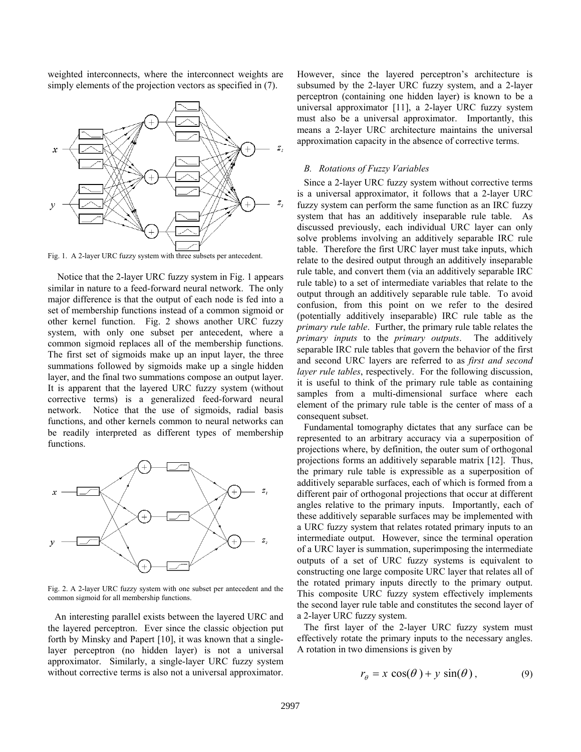weighted interconnects, where the interconnect weights are simply elements of the projection vectors as specified in (7).



Fig. 1. A 2-layer URC fuzzy system with three subsets per antecedent.

Notice that the 2-layer URC fuzzy system in Fig. 1 appears similar in nature to a feed-forward neural network. The only major difference is that the output of each node is fed into a set of membership functions instead of a common sigmoid or other kernel function. Fig. 2 shows another URC fuzzy system, with only one subset per antecedent, where a common sigmoid replaces all of the membership functions. The first set of sigmoids make up an input layer, the three summations followed by sigmoids make up a single hidden layer, and the final two summations compose an output layer. It is apparent that the layered URC fuzzy system (without corrective terms) is a generalized feed-forward neural network. Notice that the use of sigmoids, radial basis functions, and other kernels common to neural networks can be readily interpreted as different types of membership functions.



Fig. 2. A 2-layer URC fuzzy system with one subset per antecedent and the common sigmoid for all membership functions.

An interesting parallel exists between the layered URC and the layered perceptron. Ever since the classic objection put forth by Minsky and Papert [10], it was known that a singlelayer perceptron (no hidden layer) is not a universal approximator. Similarly, a single-layer URC fuzzy system without corrective terms is also not a universal approximator.

However, since the layered perceptron's architecture is subsumed by the 2-layer URC fuzzy system, and a 2-layer perceptron (containing one hidden layer) is known to be a universal approximator [11], a 2-layer URC fuzzy system must also be a universal approximator. Importantly, this means a 2-layer URC architecture maintains the universal approximation capacity in the absence of corrective terms.

# *B. Rotations of Fuzzy Variables*

Since a 2-layer URC fuzzy system without corrective terms is a universal approximator, it follows that a 2-layer URC fuzzy system can perform the same function as an IRC fuzzy system that has an additively inseparable rule table. As discussed previously, each individual URC layer can only solve problems involving an additively separable IRC rule table. Therefore the first URC layer must take inputs, which relate to the desired output through an additively inseparable rule table, and convert them (via an additively separable IRC rule table) to a set of intermediate variables that relate to the output through an additively separable rule table. To avoid confusion, from this point on we refer to the desired (potentially additively inseparable) IRC rule table as the *primary rule table*. Further, the primary rule table relates the *primary inputs* to the *primary outputs*. The additively separable IRC rule tables that govern the behavior of the first and second URC layers are referred to as *first and second layer rule tables*, respectively. For the following discussion, it is useful to think of the primary rule table as containing samples from a multi-dimensional surface where each element of the primary rule table is the center of mass of a consequent subset.

Fundamental tomography dictates that any surface can be represented to an arbitrary accuracy via a superposition of projections where, by definition, the outer sum of orthogonal projections forms an additively separable matrix [12]. Thus, the primary rule table is expressible as a superposition of additively separable surfaces, each of which is formed from a different pair of orthogonal projections that occur at different angles relative to the primary inputs. Importantly, each of these additively separable surfaces may be implemented with a URC fuzzy system that relates rotated primary inputs to an intermediate output. However, since the terminal operation of a URC layer is summation, superimposing the intermediate outputs of a set of URC fuzzy systems is equivalent to constructing one large composite URC layer that relates all of the rotated primary inputs directly to the primary output. This composite URC fuzzy system effectively implements the second layer rule table and constitutes the second layer of a 2-layer URC fuzzy system.

The first layer of the 2-layer URC fuzzy system must effectively rotate the primary inputs to the necessary angles. A rotation in two dimensions is given by

$$
r_{\theta} = x \cos(\theta) + y \sin(\theta), \qquad (9)
$$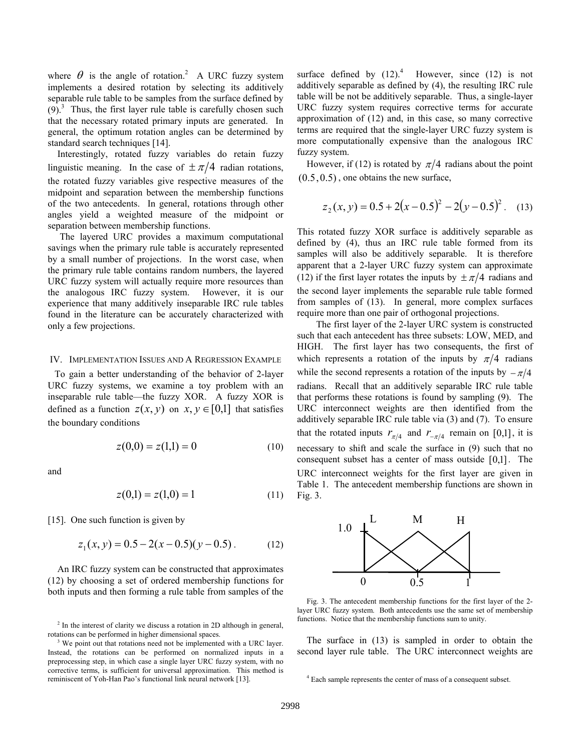where  $\theta$  is the angle of rotation.<sup>[2](#page-3-0)</sup> A URC fuzzy system implements a desired rotation by selecting its additively separable rule table to be samples from the surface defined by  $(9)$ .<sup>[3](#page-3-1)</sup> Thus, the first layer rule table is carefully chosen such that the necessary rotated primary inputs are generated. In general, the optimum rotation angles can be determined by standard search techniques [14].

Interestingly, rotated fuzzy variables do retain fuzzy linguistic meaning. In the case of  $\pm \pi/4$  radian rotations, the rotated fuzzy variables give respective measures of the midpoint and separation between the membership functions of the two antecedents. In general, rotations through other angles yield a weighted measure of the midpoint or separation between membership functions.

The layered URC provides a maximum computational savings when the primary rule table is accurately represented by a small number of projections. In the worst case, when the primary rule table contains random numbers, the layered URC fuzzy system will actually require more resources than the analogous IRC fuzzy system. However, it is our experience that many additively inseparable IRC rule tables found in the literature can be accurately characterized with only a few projections.

### IV. IMPLEMENTATION ISSUES AND A REGRESSION EXAMPLE

To gain a better understanding of the behavior of 2-layer URC fuzzy systems, we examine a toy problem with an inseparable rule table—the fuzzy XOR. A fuzzy XOR is defined as a function  $z(x, y)$  on  $x, y \in [0,1]$  that satisfies the boundary conditions

$$
z(0,0) = z(1,1) = 0 \tag{10}
$$

and

$$
z(0,1) = z(1,0) = 1 \tag{11}
$$

[15]. One such function is given by

$$
z_1(x, y) = 0.5 - 2(x - 0.5)(y - 0.5) \tag{12}
$$

An IRC fuzzy system can be constructed that approximates (12) by choosing a set of ordered membership functions for both inputs and then forming a rule table from samples of the

surfacedefined by  $(12)^4$ . However, since  $(12)$  is not additively separable as defined by (4), the resulting IRC rule table will be not be additively separable. Thus, a single-layer URC fuzzy system requires corrective terms for accurate approximation of (12) and, in this case, so many corrective terms are required that the single-layer URC fuzzy system is more computationally expensive than the analogous IRC fuzzy system.

However, if (12) is rotated by  $\pi/4$  radians about the point  $(0.5, 0.5)$ , one obtains the new surface,

$$
z_2(x, y) = 0.5 + 2(x - 0.5)^2 - 2(y - 0.5)^2.
$$
 (13)

This rotated fuzzy XOR surface is additively separable as defined by (4), thus an IRC rule table formed from its samples will also be additively separable. It is therefore apparent that a 2-layer URC fuzzy system can approximate (12) if the first layer rotates the inputs by  $\pm \pi/4$  radians and the second layer implements the separable rule table formed from samples of (13). In general, more complex surfaces require more than one pair of orthogonal projections.

The first layer of the 2-layer URC system is constructed such that each antecedent has three subsets: LOW, MED, and HIGH. The first layer has two consequents, the first of which represents a rotation of the inputs by  $\pi/4$  radians while the second represents a rotation of the inputs by  $-\pi/4$ radians. Recall that an additively separable IRC rule table that performs these rotations is found by sampling (9). The URC interconnect weights are then identified from the additively separable IRC rule table via (3) and (7). To ensure that the rotated inputs  $r_{\pi/4}$  and  $r_{-\pi/4}$  remain on [0,1], it is necessary to shift and scale the surface in (9) such that no consequent subset has a center of mass outside  $[0,1]$ . The URC interconnect weights for the first layer are given in Table 1. The antecedent membership functions are shown in Fig. 3.



Fig. 3. The antecedent membership functions for the first layer of the 2 layer URC fuzzy system. Both antecedents use the same set of membership functions. Notice that the membership functions sum to unity.

The surface in (13) is sampled in order to obtain the second layer rule table. The URC interconnect weights are

<span id="page-3-0"></span><sup>&</sup>lt;sup>2</sup> In the interest of clarity we discuss a rotation in 2D although in general,

<span id="page-3-1"></span>rotations can be performed in higher dimensional spaces. 3 We point out that rotations need not be implemented with a URC layer. Instead, the rotations can be performed on normalized inputs in a preprocessing step, in which case a single layer URC fuzzy system, with no corrective terms, is sufficient for universal approximation. This method is reminiscent of Yoh-Han Pao's functional link neural network [13].

<span id="page-3-2"></span><sup>&</sup>lt;sup>4</sup> Each sample represents the center of mass of a consequent subset.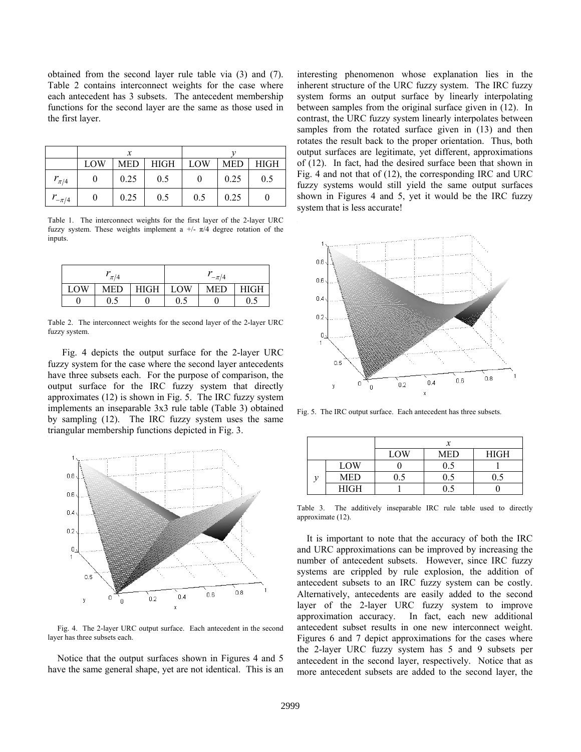obtained from the second layer rule table via (3) and (7). Table 2 contains interconnect weights for the case where each antecedent has 3 subsets. The antecedent membership functions for the second layer are the same as those used in the first layer.

|              | LOW | <b>MED</b> | HIGH | LOW | <b>MED</b> | <b>HIGH</b> |
|--------------|-----|------------|------|-----|------------|-------------|
| $r_{\pi/4}$  |     | 0.25       | 0.5  |     | 0.25       | 0.5         |
| $r_{-\pi/4}$ |     | 0.25       | 0.5  | 0.5 | 0.25       |             |

Table 1. The interconnect weights for the first layer of the 2-layer URC fuzzy system. These weights implement a  $+/- \pi/4$  degree rotation of the inputs.

| $\pi/4$ |     |             | $r_{-\pi/4}$ |            |             |  |
|---------|-----|-------------|--------------|------------|-------------|--|
| LOW     | MED | <b>HIGH</b> | LOW          | <b>MED</b> | <b>HIGH</b> |  |
|         |     |             | 0.5          |            |             |  |

Table 2. The interconnect weights for the second layer of the 2-layer URC fuzzy system.

Fig. 4 depicts the output surface for the 2-layer URC fuzzy system for the case where the second layer antecedents have three subsets each. For the purpose of comparison, the output surface for the IRC fuzzy system that directly approximates (12) is shown in Fig. 5. The IRC fuzzy system implements an inseparable 3x3 rule table (Table 3) obtained by sampling (12). The IRC fuzzy system uses the same triangular membership functions depicted in Fig. 3.



Fig. 4. The 2-layer URC output surface. Each antecedent in the second layer has three subsets each.

Notice that the output surfaces shown in Figures 4 and 5 have the same general shape, yet are not identical. This is an interesting phenomenon whose explanation lies in the inherent structure of the URC fuzzy system. The IRC fuzzy system forms an output surface by linearly interpolating between samples from the original surface given in (12). In contrast, the URC fuzzy system linearly interpolates between samples from the rotated surface given in  $(13)$  and then rotates the result back to the proper orientation. Thus, both output surfaces are legitimate, yet different, approximations of (12). In fact, had the desired surface been that shown in Fig. 4 and not that of (12), the corresponding IRC and URC fuzzy systems would still yield the same output surfaces shown in Figures 4 and 5, yet it would be the IRC fuzzy system that is less accurate!



Fig. 5. The IRC output surface. Each antecedent has three subsets.

|  |             | х   |     |             |  |
|--|-------------|-----|-----|-------------|--|
|  |             | LOW | MED | <b>HIGH</b> |  |
|  | LOW         |     | 0.5 |             |  |
|  | <b>MED</b>  | 1.5 | J.5 |             |  |
|  | <b>HIGH</b> |     |     |             |  |

Table 3. The additively inseparable IRC rule table used to directly approximate (12).

It is important to note that the accuracy of both the IRC and URC approximations can be improved by increasing the number of antecedent subsets. However, since IRC fuzzy systems are crippled by rule explosion, the addition of antecedent subsets to an IRC fuzzy system can be costly. Alternatively, antecedents are easily added to the second layer of the 2-layer URC fuzzy system to improve approximation accuracy. In fact, each new additional antecedent subset results in one new interconnect weight. Figures 6 and 7 depict approximations for the cases where the 2-layer URC fuzzy system has 5 and 9 subsets per antecedent in the second layer, respectively. Notice that as more antecedent subsets are added to the second layer, the